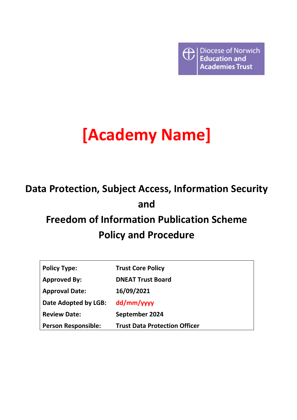Diocese of Norwich  $\bigoplus$ **Education and Academies Trust** 

# **[Academy Name]**

## **Data Protection, Subject Access, Information Security and**

## **Freedom of Information Publication Scheme Policy and Procedure**

| <b>Policy Type:</b>        | <b>Trust Core Policy</b>             |
|----------------------------|--------------------------------------|
| <b>Approved By:</b>        | <b>DNEAT Trust Board</b>             |
| <b>Approval Date:</b>      | 16/09/2021                           |
| Date Adopted by LGB:       | dd/mm/yyyy                           |
| <b>Review Date:</b>        | September 2024                       |
| <b>Person Responsible:</b> | <b>Trust Data Protection Officer</b> |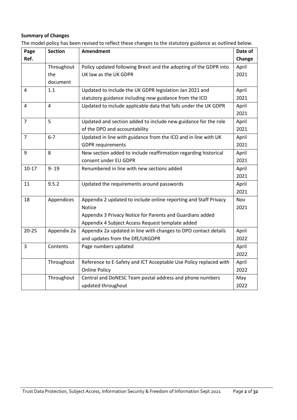#### **Summary of Changes**

The model policy has been revised to reflect these changes to the statutory guidance as outlined below.

| Page           | <b>Section</b> | <b>Amendment</b>                                                  | Date of |
|----------------|----------------|-------------------------------------------------------------------|---------|
| Ref.           |                |                                                                   | Change  |
|                | Throughout     | Policy updated following Brexit and the adopting of the GDPR into | April   |
|                | the            | UK law as the UK GDPR                                             | 2021    |
|                | document       |                                                                   |         |
| 4              | 1.1            | Updated to include the UK GDPR legislation Jan 2021 and           | April   |
|                |                | statutory guidance including new guidance from the ICO            | 2021    |
| 4              | 4              | Updated to include applicable data that falls under the UK GDPR   | April   |
|                |                |                                                                   | 2021    |
| $\overline{7}$ | 5              | Updated and section added to include new guidance for the role    | April   |
|                |                | of the DPO and accountability                                     | 2021    |
| 7              | $6 - 7$        | Updated in line with guidance from the ICO and in line with UK    | April   |
|                |                | <b>GDPR</b> requirements                                          | 2021    |
| 9              | 8              | New section added to include reaffirmation regarding historical   | April   |
|                |                | consent under EU GDPR                                             | 2021    |
| $10-17$        | $9 - 19$       | Renumbered in line with new sections added                        | April   |
|                |                |                                                                   | 2021    |
| 11             | 9.5.2          | Updated the requirements around passwords                         | April   |
|                |                |                                                                   | 2021    |
| 18             | Appendices     | Appendix 2 updated to include online reporting and Staff Privacy  | Nov     |
|                |                | <b>Notice</b>                                                     | 2021    |
|                |                | Appendix 3 Privacy Notice for Parents and Guardians added         |         |
|                |                | Appendix 4 Subject Access Request template added                  |         |
| $20 - 25$      | Appendix 2a    | Appendix 2a updated in line with changes to DPO contact details   | April   |
|                |                | and updates from the DfE/UKGDPR                                   | 2022    |
| 3              | Contents       | Page numbers updated                                              | April   |
|                |                |                                                                   | 2022    |
|                | Throughout     | Reference to E-Safety and ICT Acceptable Use Policy replaced with | April   |
|                |                | <b>Online Policy</b>                                              | 2022    |
|                | Throughout     | Central and DoNESC Team postal address and phone numbers          | May     |
|                |                | updated throughout                                                | 2022    |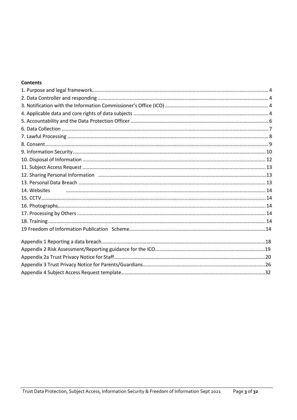## **Contents**

| 14. Websites |  |
|--------------|--|
|              |  |
|              |  |
|              |  |
|              |  |
|              |  |
|              |  |
|              |  |
|              |  |
|              |  |
|              |  |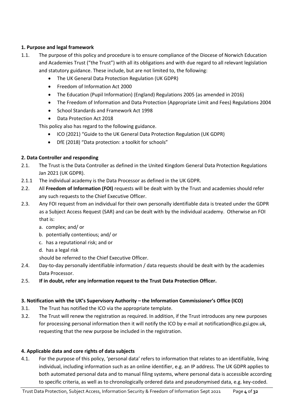#### <span id="page-3-0"></span>**1. Purpose and legal framework**

- <span id="page-3-1"></span>1.1. The purpose of this policy and procedure is to ensure compliance of the Diocese of Norwich Education and Academies Trust ("the Trust") with all its obligations and with due regard to all relevant legislation and statutory guidance. These include, but are not limited to, the following:
	- The UK General Data Protection Regulation (UK GDPR)
	- Freedom of Information Act 2000
	- The Education (Pupil Information) (England) Regulations 2005 (as amended in 2016)
	- The Freedom of Information and Data Protection (Appropriate Limit and Fees) Regulations 2004
	- School Standards and Framework Act 1998
	- Data Protection Act 2018

This policy also has regard to the following guidance.

- ICO (2021) ["Guide to the UK General Data Protection Regulation \(UK GDPR\)](https://ico.org.uk/for-organisations/guide-to-data-protection/guide-to-the-general-data-protection-regulation-gdpr/)
- DfE (2018) ["Data protection: a toolkit for schools"](https://www.gov.uk/government/publications/data-protection-toolkit-for-schools)

#### **2. Data Controller and responding**

- 2.1. The Trust is the Data Controller as defined in the United Kingdom General Data Protection Regulations Jan 2021 (UK GDPR).
- 2.1.1 The individual academy is the Data Processor as defined in the UK GDPR.
- 2.2. All **Freedom of Information (FOI)** requests will be dealt with by the Trust and academies should refer any such requests to the Chief Executive Officer.
- 2.3. Any FOI request from an individual for their own personally identifiable data is treated under the GDPR as a Subject Access Request (SAR) and can be dealt with by the individual academy. Otherwise an FOI that is:
	- a. complex; and/ or
	- b. potentially contentious; and/ or
	- c. has a reputational risk; and or
	- d. has a legal risk

should be referred to the Chief Executive Officer.

- 2.4. Day-to-day personally identifiable information / data requests should be dealt with by the academies Data Processor.
- <span id="page-3-2"></span>2.5. **If in doubt, refer any information request to the Trust Data Protection Officer.**

#### **3. Notification with the UK's Supervisory Authority – the Information Commissioner's Office (ICO)**

- 3.1. The Trust has notified the ICO via the appropriate template.
- 3.2. The Trust will renew the registration as required. In addition, if the Trust introduces any new purposes for processing personal information then it will notify the ICO by e-mail at notification@ico.gsi.gov.uk, requesting that the new purpose be included in the registration.

#### <span id="page-3-3"></span>**4. Applicable data and core rights of data subjects**

4.1. For the purpose of this policy, 'personal data' refers to information that relates to an identifiable, living individual, including information such as an online identifier, e.g. an IP address. The UK GDPR applies to both automated personal data and to manual filing systems, where personal data is accessible according to specific criteria, as well as to chronologically ordered data and pseudonymised data, e.g. key-coded.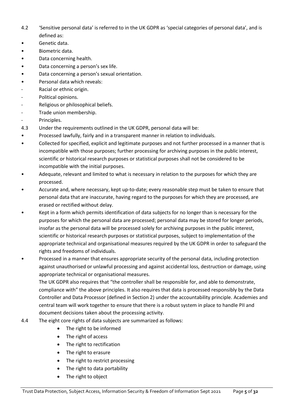- 4.2 'Sensitive personal data' is referred to in the UK GDPR as 'special categories of personal data', and is defined as:
- Genetic data.
- Biometric data.
- Data concerning health.
- Data concerning a person's sex life.
- Data concerning a person's sexual orientation.
- Personal data which reveals:
- Racial or ethnic origin.
- Political opinions.
- Religious or philosophical beliefs.
- Trade union membership.
- Principles.
- 4.3 Under the requirements outlined in the UK GDPR, personal data will be:
- Processed lawfully, fairly and in a transparent manner in relation to individuals.
- Collected for specified, explicit and legitimate purposes and not further processed in a manner that is incompatible with those purposes; further processing for archiving purposes in the public interest, scientific or historical research purposes or statistical purposes shall not be considered to be incompatible with the initial purposes.
- Adequate, relevant and limited to what is necessary in relation to the purposes for which they are processed.
- Accurate and, where necessary, kept up-to-date; every reasonable step must be taken to ensure that personal data that are inaccurate, having regard to the purposes for which they are processed, are erased or rectified without delay.
- Kept in a form which permits identification of data subjects for no longer than is necessary for the purposes for which the personal data are processed; personal data may be stored for longer periods, insofar as the personal data will be processed solely for archiving purposes in the public interest, scientific or historical research purposes or statistical purposes, subject to implementation of the appropriate technical and organisational measures required by the UK GDPR in order to safeguard the rights and freedoms of individuals.
- Processed in a manner that ensures appropriate security of the personal data, including protection against unauthorised or unlawful processing and against accidental loss, destruction or damage, using appropriate technical or organisational measures.

The UK GDPR also requires that "the controller shall be responsible for, and able to demonstrate, compliance with" the above principles. It also requires that data is processed responsibly by the Data Controller and Data Processor (defined in Section 2) under the accountability principle. Academies and central team will work together to ensure that there is a robust system in place to handle PII and document decisions taken about the processing activity.

- 4.4 The eight core rights of data subjects are summarized as follows:
	- The right to be informed
	- The right of access
	- The right to rectification
	- The right to erasure
	- The right to restrict processing
	- The right to data portability
	- The right to object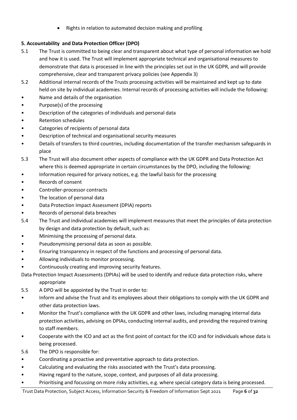• Rights in relation to automated decision making and profiling

## **5. Accountability and Data Protection Officer (DPO)**

- 5.1 The Trust is committed to being clear and transparent about what type of personal information we hold and how it is used. The Trust will implement appropriate technical and organisational measures to demonstrate that data is processed in line with the principles set out in the UK GDPR, and will provide comprehensive, clear and transparent privacy policies (see Appendix 3)
- 5.2 Additional internal records of the Trusts processing activities will be maintained and kept up to date held on site by individual academies. Internal records of processing activities will include the following:
- Name and details of the organisation
- Purpose(s) of the processing
- Description of the categories of individuals and personal data
- Retention schedules
- Categories of recipients of personal data
- Description of technical and organisational security measures
- Details of transfers to third countries, including documentation of the transfer mechanism safeguards in place
- 5.3 The Trust will also document other aspects of compliance with the UK GDPR and Data Protection Act where this is deemed appropriate in certain circumstances by the DPO, including the following:
- Information required for privacy notices, e.g. the lawful basis for the processing
- Records of consent
- Controller-processor contracts
- The location of personal data
- Data Protection Impact Assessment (DPIA) reports
- Records of personal data breaches
- 5.4 The Trust and individual academies will implement measures that meet the principles of data protection by design and data protection by default, such as:
- Minimising the processing of personal data.
- Pseudonymising personal data as soon as possible.
- Ensuring transparency in respect of the functions and processing of personal data.
- Allowing individuals to monitor processing.
- Continuously creating and improving security features.
- Data Protection Impact Assessments (DPIAs) will be used to identify and reduce data protection risks, where appropriate
- 5.5 A DPO will be appointed by the Trust in order to:
- Inform and advise the Trust and its employees about their obligations to comply with the UK GDPR and other data protection laws.
- Monitor the Trust's compliance with the UK GDPR and other laws, including managing internal data protection activities, advising on DPIAs, conducting internal audits, and providing the required training to staff members.
- Cooperate with the ICO and act as the first point of contact for the ICO and for individuals whose data is being processed.
- 5.6 The DPO is responsible for:
- Coordinating a proactive and preventative approach to data protection.
- Calculating and evaluating the risks associated with the Trust's data processing.
- Having regard to the nature, scope, context, and purposes of all data processing.
- Prioritising and focussing on more risky activities, e.g. where special category data is being processed.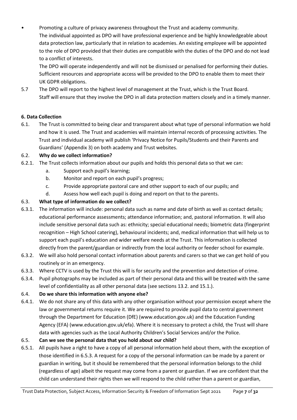• Promoting a culture of privacy awareness throughout the Trust and academy community. The individual appointed as DPO will have professional experience and be highly knowledgeable about data protection law, particularly that in relation to academies. An existing employee will be appointed to the role of DPO provided that their duties are compatible with the duties of the DPO and do not lead to a conflict of interests.

The DPO will operate independently and will not be dismissed or penalised for performing their duties. Sufficient resources and appropriate access will be provided to the DPO to enable them to meet their UK GDPR obligations.

5.7 The DPO will report to the highest level of management at the Trust, which is the Trust Board. Staff will ensure that they involve the DPO in all data protection matters closely and in a timely manner.

## <span id="page-6-0"></span>**6. Data Collection**

6.1. The Trust is committed to being clear and transparent about what type of personal information we hold and how it is used. The Trust and academies will maintain internal records of processing activities. The Trust and individual academy will publish 'Privacy Notice for Pupils/Students and their Parents and Guardians' (Appendix 3) on both academy and Trust websites.

## 6.2. **Why do we collect information?**

- 6.2.1. The Trust collects information about our pupils and holds this personal data so that we can:
	- a. Support each pupil's learning;
	- b. Monitor and report on each pupil's progress;
	- c. Provide appropriate pastoral care and other support to each of our pupils; and
	- d. Assess how well each pupil is doing and report on that to the parents.

## 6.3. **What type of information do we collect?**

- 6.3.1. The information will include: personal data such as name and date of birth as well as contact details; educational performance assessments; attendance information; and, pastoral information. It will also include sensitive personal data such as: ethnicity; special educational needs; biometric data (fingerprint recognition – High School catering), behavioural incidents; and, medical information that will help us to support each pupil's education and wider welfare needs at the Trust. This information is collected directly from the parent/guardian or indirectly from the local authority or feeder school for example.
- 6.3.2. We will also hold personal contact information about parents and carers so that we can get hold of you routinely or in an emergency.
- 6.3.3. Where CCTV is used by the Trust this will is for security and the prevention and detection of crime.
- 6.3.4. Pupil photographs may be included as part of their personal data and this will be treated with the same level of confidentiality as all other personal data (see sections 13.2. and 15.1.).

## 6.4. **Do we share this information with anyone else?**

6.4.1. We do not share any of this data with any other organisation without your permission except where the law or governmental returns require it. We are required to provide pupil data to central government through the Department for Education (DfE) (www.education.gov.uk) and the Education Funding Agency (EFA) (www.education.gov.uk/efa). Where it is necessary to protect a child, the Trust will share data with agencies such as the Local Authority Children's Social Services and/or the Police.

## 6.5. **Can we see the personal data that you hold about our child?**

6.5.1. All pupils have a right to have a copy of all personal information held about them, with the exception of those identified in 6.5.3. A request for a copy of the personal information can be made by a parent or guardian in writing, but it should be remembered that the personal information belongs to the child (regardless of age) albeit the request may come from a parent or guardian. If we are confident that the child can understand their rights then we will respond to the child rather than a parent or guardian,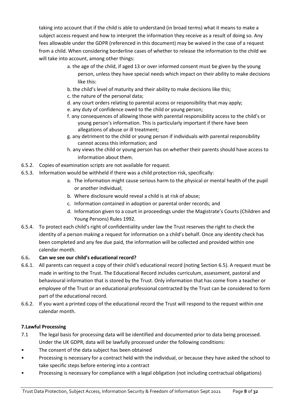taking into account that if the child is able to understand (in broad terms) what it means to make a subject access request and how to interpret the information they receive as a result of doing so. Any fees allowable under the GDPR (referenced in this document) may be waived in the case of a request from a child. When considering borderline cases of whether to release the information to the child we will take into account, among other things:

- a. the age of the child, if aged 13 or over informed consent must be given by the young person, unless they have special needs which impact on their ability to make decisions like this:
- b. the child's level of maturity and their ability to make decisions like this;
- c. the nature of the personal data;
- d. any court orders relating to parental access or responsibility that may apply;
- e. any duty of confidence owed to the child or young person;
- f. any consequences of allowing those with parental responsibility access to the child's or young person's information. This is particularly important if there have been allegations of abuse or ill treatment;
- g. any detriment to the child or young person if individuals with parental responsibility cannot access this information; and
- h. any views the child or young person has on whether their parents should have access to information about them.
- 6.5.2. Copies of examination scripts are not available for request.
- 6.5.3. Information would be withheld if there was a child protection risk, specifically:
	- a. The information might cause serious harm to the physical or mental health of the pupil or another individual;
	- b. Where disclosure would reveal a child is at risk of abuse;
	- c. Information contained in adoption or parental order records; and
	- d. Information given to a court in proceedings under the Magistrate's Courts (Children and Young Persons) Rules 1992.
- 6.5.4. To protect each child's right of confidentiality under law the Trust reserves the right to check the identity of a person making a request for information on a child's behalf. Once any identity check has been completed and any fee due paid, the information will be collected and provided within one calendar month.

## 6.6**. Can we see our child's educational record?**

- 6.6.1. All parents can request a copy of their child's educational record (noting Section 6.5). A request must be made in writing to the Trust. The Educational Record includes curriculum, assessment, pastoral and behavioural information that is stored by the Trust. Only information that has come from a teacher or employee of the Trust or an educational professional contracted by the Trust can be considered to form part of the educational record.
- 6.6.2. If you want a printed copy of the educational record the Trust will respond to the request within one calendar month.

#### **7.Lawful Processing**

- 7.1 The legal basis for processing data will be identified and documented prior to data being processed. Under the UK GDPR, data will be lawfully processed under the following conditions:
- The consent of the data subject has been obtained
- Processing is necessary for a contract held with the individual, or because they have asked the school to take specific steps before entering into a contract
- Processing is necessary for compliance with a legal obligation (not including contractual obligations)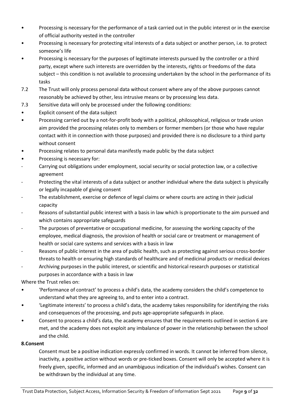- Processing is necessary for the performance of a task carried out in the public interest or in the exercise of official authority vested in the controller
- Processing is necessary for protecting vital interests of a data subject or another person, i.e. to protect someone's life
- Processing is necessary for the purposes of legitimate interests pursued by the controller or a third party, except where such interests are overridden by the interests, rights or freedoms of the data subject – this condition is not available to processing undertaken by the school in the performance of its tasks
- 7.2 The Trust will only process personal data without consent where any of the above purposes cannot reasonably be achieved by other, less intrusive means or by processing less data.
- 7.3 Sensitive data will only be processed under the following conditions:
- Explicit consent of the data subject
- Processing carried out by a not-for-profit body with a political, philosophical, religious or trade union aim provided the processing relates only to members or former members (or those who have regular contact with it in connection with those purposes) and provided there is no disclosure to a third party without consent
- Processing relates to personal data manifestly made public by the data subject
- Processing is necessary for:
- Carrying out obligations under employment, social security or social protection law, or a collective agreement
- Protecting the vital interests of a data subject or another individual where the data subject is physically or legally incapable of giving consent
- The establishment, exercise or defence of legal claims or where courts are acting in their judicial capacity
- Reasons of substantial public interest with a basis in law which is proportionate to the aim pursued and which contains appropriate safeguards
- The purposes of preventative or occupational medicine, for assessing the working capacity of the employee, medical diagnosis, the provision of health or social care or treatment or management of health or social care systems and services with a basis in law
- Reasons of public interest in the area of public health, such as protecting against serious cross-border threats to health or ensuring high standards of healthcare and of medicinal products or medical devices
- Archiving purposes in the public interest, or scientific and historical research purposes or statistical purposes in accordance with a basis in law

Where the Trust relies on:

- 'Performance of contract' to process a child's data, the academy considers the child's competence to understand what they are agreeing to, and to enter into a contract.
- 'Legitimate interests' to process a child's data, the academy takes responsibility for identifying the risks and consequences of the processing, and puts age-appropriate safeguards in place.
- Consent to process a child's data, the academy ensures that the requirements outlined in section 6 are met, and the academy does not exploit any imbalance of power in the relationship between the school and the child.

#### **8.Consent**

Consent must be a positive indication expressly confirmed in words. It cannot be inferred from silence, inactivity, a positive action without words or pre-ticked boxes. Consent will only be accepted where it is freely given, specific, informed and an unambiguous indication of the individual's wishes. Consent can be withdrawn by the individual at any time.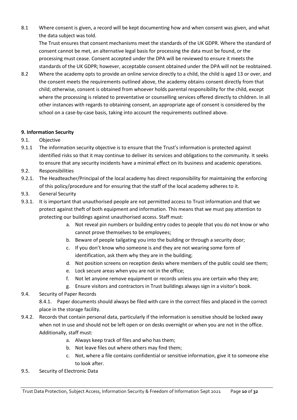8.1 Where consent is given, a record will be kept documenting how and when consent was given, and what the data subject was told.

The Trust ensures that consent mechanisms meet the standards of the UK GDPR. Where the standard of consent cannot be met, an alternative legal basis for processing the data must be found, or the processing must cease. Consent accepted under the DPA will be reviewed to ensure it meets the standards of the UK GDPR; however, acceptable consent obtained under the DPA will not be reobtained.

8.2 Where the academy opts to provide an online service directly to a child, the child is aged 13 or over, and the consent meets the requirements outlined above, the academy obtains consent directly from that child; otherwise, consent is obtained from whoever holds parental responsibility for the child, except where the processing is related to preventative or counselling services offered directly to children. In all other instances with regards to obtaining consent, an appropriate age of consent is considered by the school on a case-by-case basis, taking into account the requirements outlined above.

#### <span id="page-9-0"></span>**9. Information Security**

- 9.1. Objective
- 9.1.1 The information security objective is to ensure that the Trust's information is protected against identified risks so that it may continue to deliver its services and obligations to the community. It seeks to ensure that any security incidents have a minimal effect on its business and academic operations.
- 9.2. Responsibilities
- 9.2.1. The Headteacher/Principal of the local academy has direct responsibility for maintaining the enforcing of this policy/procedure and for ensuring that the staff of the local academy adheres to it.
- 9.3. General Security
- 9.3.1. It is important that unauthorised people are not permitted access to Trust information and that we protect against theft of both equipment and information. This means that we must pay attention to protecting our buildings against unauthorised access. Staff must:
	- a. Not reveal pin numbers or building entry codes to people that you do not know or who cannot prove themselves to be employees;
	- b. Beware of people tailgating you into the building or through a security door;
	- c. If you don't know who someone is and they are not wearing some form of identification, ask them why they are in the building;
	- d. Not position screens on reception desks where members of the public could see them;
	- e. Lock secure areas when you are not in the office;
	- f. Not let anyone remove equipment or records unless you are certain who they are;
	- g. Ensure visitors and contractors in Trust buildings always sign in a visitor's book.
- 9.4. Security of Paper Records

8.4.1. Paper documents should always be filed with care in the correct files and placed in the correct place in the storage facility.

- 9.4.2. Records that contain personal data, particularly if the information is sensitive should be locked away when not in use and should not be left open or on desks overnight or when you are not in the office. Additionally, staff must:
	- a. Always keep track of files and who has them;
	- b. Not leave files out where others may find them;
	- c. Not, where a file contains confidential or sensitive information, give it to someone else to look after.
- 9.5. Security of Electronic Data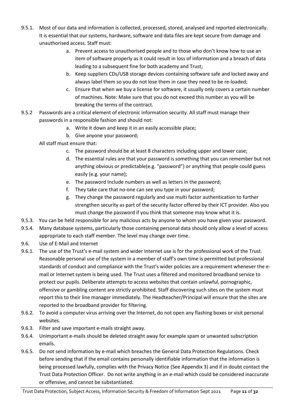- 9.5.1. Most of our data and information is collected, processed, stored, analysed and reported electronically. It is essential that our systems, hardware, software and data files are kept secure from damage and unauthorised access. Staff must:
	- a. Prevent access to unauthorised people and to those who don't know how to use an item of software properly as it could result in loss of information and a breach of data leading to a subsequent fine for both academy and Trust;
	- b. Keep suppliers CDs/USB storage devices containing software safe and locked away and always label them so you do not lose them in case they need to be re-loaded;
	- c. Ensure that when we buy a license for software, it usually only covers a certain number of machines. Note: Make sure that you do not exceed this number as you will be breaking the terms of the contract.
- 9.5.2 Passwords are a critical element of electronic information security. All staff must manage their passwords in a responsible fashion and should not:
	- a. Write it down and keep it in an easily accessible place;
	- b. Give anyone your password;
	- All staff must ensure that:
		- c. The password should be at least 8 characters including upper and lower case;
		- d. The essential rules are that your password is something that you can remember but not anything obvious or predictable(e.g. "password") or anything that people could guess easily (e.g. your name);
		- e. The password Include numbers as well as letters in the password;
		- f. They take care that no-one can see you type in your password;
		- g. They change the password regularly and use multi factor authentication to further strengthen security as part of the security factor offered by their ICT provider. Also you must change the password if you think that someone may know what it is.
- 9.5.3. You can be held responsible for any malicious acts by anyone to whom you have given your password.
- 9.5.4. Many database systems, particularly those containing personal data should only allow a level of access appropriate to each staff member. The level may change over time.
- 9.6. Use of E-Mail and Internet
- 9.6.1. The use of the Trust's e-mail system and wider Internet use is for the professional work of the Trust. Reasonable personal use of the system in a member of staff's own time is permitted but professional standards of conduct and compliance with the Trust's wider policies are a requirement whenever the email or Internet system is being used. The Trust uses a filtered and monitored broadband service to protect our pupils. Deliberate attempts to access websites that contain unlawful, pornographic, offensive or gambling content are strictly prohibited. Staff discovering such sites on the system must report this to their line manager immediately. The Headteacher/Principal will ensure that the sites are reported to the broadband provider for filtering.
- 9.6.2. To avoid a computer virus arriving over the Internet, do not open any flashing boxes or visit personal websites.
- 9.6.3. Filter and save important e-mails straight away.
- 9.6.4. Unimportant e-mails should be deleted straight away for example spam or unwanted subscription emails.
- 9.6.5. Do not send information by e-mail which breaches the General Data Protection Regulations. Check before sending that if the email contains personally identifiable information that the information is being processed lawfully, complies with the Privacy Notice (See Appendix 3) and if in doubt contact the Trust Data Protection Officer. Do not write anything in an e-mail which could be considered inaccurate or offensive, and cannot be substantiated.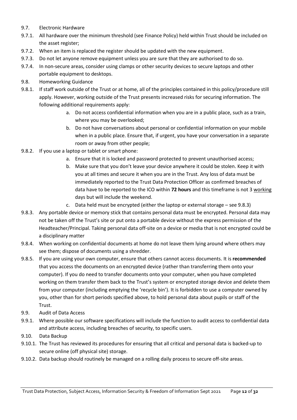- 9.7. Electronic Hardware
- 9.7.1. All hardware over the minimum threshold (see Finance Policy) held within Trust should be included on the asset register;
- 9.7.2. When an item is replaced the register should be updated with the new equipment.
- 9.7.3. Do not let anyone remove equipment unless you are sure that they are authorised to do so.
- 9.7.4. In non-secure areas, consider using clamps or other security devices to secure laptops and other portable equipment to desktops.
- 9.8. Homeworking Guidance
- 9.8.1. If staff work outside of the Trust or at home, all of the principles contained in this policy/procedure still apply. However, working outside of the Trust presents increased risks for securing information. The following additional requirements apply:
	- a. Do not access confidential information when you are in a public place, such as a train, where you may be overlooked;
	- b. Do not have conversations about personal or confidential information on your mobile when in a public place. Ensure that, if urgent, you have your conversation in a separate room or away from other people;
- 9.8.2. If you use a laptop or tablet or smart phone:
	- a. Ensure that it is locked and password protected to prevent unauthorised access;
	- b. Make sure that you don't leave your device anywhere it could be stolen. Keep it with you at all times and secure it when you are in the Trust. Any loss of data must be immediately reported to the Trust Data Protection Officer as confirmed breaches of data have to be reported to the ICO within **72 hours** and this timeframe is not 3 working days but will include the weekend.
	- c. Data held must be encrypted (either the laptop or external storage see 9.8.3)
- 9.8.3. Any portable device or memory stick that contains personal data must be encrypted. Personal data may not be taken off the Trust's site or put onto a portable device without the express permission of the Headteacher/Principal. Taking personal data off-site on a device or media that is not encrypted could be a disciplinary matter
- 9.8.4. When working on confidential documents at home do not leave them lying around where others may see them; dispose of documents using a shredder.
- 9.8.5. If you are using your own computer, ensure that others cannot access documents. It is **recommended** that you access the documents on an encrypted device (rather than transferring them onto your computer). If you do need to transfer documents onto your computer, when you have completed working on them transfer them back to the Trust's system or encrypted storage device and delete them from your computer (including emptying the 'recycle bin'). It is forbidden to use a computer owned by you, other than for short periods specified above, to hold personal data about pupils or staff of the Trust.
- 9.9. Audit of Data Access
- 9.9.1. Where possible our software specifications will include the function to audit access to confidential data and attribute access, including breaches of security, to specific users.
- 9.10. Data Backup
- 9.10.1. The Trust has reviewed its procedures for ensuring that all critical and personal data is backed-up to secure online (off physical site) storage.
- 9.10.2. Data backup should routinely be managed on a rolling daily process to secure off-site areas.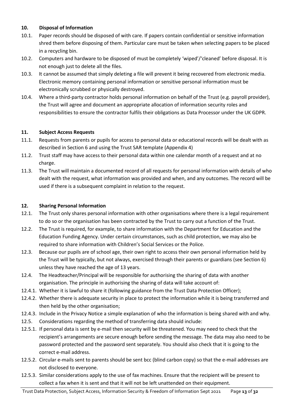#### <span id="page-12-0"></span>**10. Disposal of Information**

- 10.1. Paper records should be disposed of with care. If papers contain confidential or sensitive information shred them before disposing of them. Particular care must be taken when selecting papers to be placed in a recycling bin.
- 10.2. Computers and hardware to be disposed of must be completely 'wiped'/'cleaned' before disposal. It is not enough just to delete all the files.
- 10.3. It cannot be assumed that simply deleting a file will prevent it being recovered from electronic media. Electronic memory containing personal information or sensitive personal information must be electronically scrubbed or physically destroyed.
- 10.4. Where a third-party contractor holds personal information on behalf of the Trust (e.g. payroll provider), the Trust will agree and document an appropriate allocation of information security roles and responsibilities to ensure the contractor fulfils their obligations as Data Processor under the UK GDPR.

#### <span id="page-12-1"></span>**11. Subject Access Requests**

- 11.1. Requests from parents or pupils for access to personal data or educational records will be dealt with as described in Section 6 and using the Trust SAR template (Appendix 4)
- 11.2. Trust staff may have access to their personal data within one calendar month of a request and at no charge.
- 11.3. The Trust will maintain a documented record of all requests for personal information with details of who dealt with the request, what information was provided and when, and any outcomes. The record will be used if there is a subsequent complaint in relation to the request.

#### <span id="page-12-2"></span>**12. Sharing Personal Information**

- 12.1. The Trust only shares personal information with other organisations where there is a legal requirement to do so or the organisation has been contracted by the Trust to carry out a function of the Trust.
- 12.2. The Trust is required, for example, to share information with the Department for Education and the Education Funding Agency. Under certain circumstances, such as child protection, we may also be required to share information with Children's Social Services or the Police.
- 12.3. Because our pupils are of school age, their own right to access their own personal information held by the Trust will be typically, but not always, exercised through their parents or guardians (see Section 6) unless they have reached the age of 13 years.
- 12.4. The Headteacher/Principal will be responsible for authorising the sharing of data with another organisation. The principle in authorising the sharing of data will take account of:
- 12.4.1. Whether it is lawful to share it (following guidance from the Trust Data Protection Officer);
- 12.4.2. Whether there is adequate security in place to protect the information while it is being transferred and then held by the other organisation;
- 12.4.3. Include in the Privacy Notice a simple explanation of who the information is being shared with and why.
- 12.5. Considerations regarding the method of transferring data should include:
- 12.5.1. If personal data is sent by e-mail then security will be threatened. You may need to check that the recipient's arrangements are secure enough before sending the message. The data may also need to be password protected and the password sent separately. You should also check that it is going to the correct e-mail address.
- 12.5.2. Circular e-mails sent to parents should be sent bcc (blind carbon copy) so that the e-mail addresses are not disclosed to everyone.
- 12.5.3. Similar considerations apply to the use of fax machines. Ensure that the recipient will be present to collect a fax when it is sent and that it will not be left unattended on their equipment.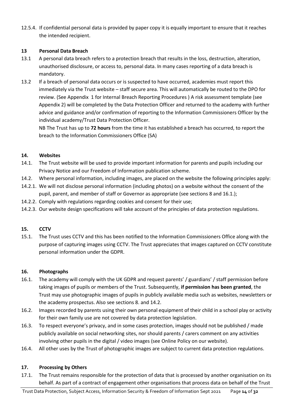12.5.4. If confidential personal data is provided by paper copy it is equally important to ensure that it reaches the intended recipient.

#### **13 Personal Data Breach**

- 13.1 A personal data breach refers to a protection breach that results in the loss, destruction, alteration, unauthorised disclosure, or access to, personal data. In many cases reporting of a data breach is mandatory.
- 13.2 If a breach of personal data occurs or is suspected to have occurred, academies must report this immediately via the Trust website – staff secure area. This will automatically be routed to the DPO for review. (See Appendix 1 for Internal Breach Reporting Procedures ) A risk assessment template (see Appendix 2) will be completed by the Data Protection Officer and returned to the academy with further advice and guidance and/or confirmation of reporting to the Information Commissioners Officer by the individual academy/Trust Data Protection Officer.

NB The Trust has up to **72 hours** from the time it has established a breach has occurred, to report the breach to the Information Commissioners Office (SA)

#### <span id="page-13-0"></span>**14. Websites**

- 14.1. The Trust website will be used to provide important information for parents and pupils including our Privacy Notice and our Freedom of Information publication scheme.
- 14.2. Where personal information, including images, are placed on the website the following principles apply:
- 14.2.1. We will not disclose personal information (including photos) on a website without the consent of the pupil, parent, and member of staff or Governor as appropriate (see sections 8 and 16.1.);
- 14.2.2. Comply with regulations regarding cookies and consent for their use;
- <span id="page-13-1"></span>14.2.3. Our website design specifications will take account of the principles of data protection regulations.

#### **15. CCTV**

15.1. The Trust uses CCTV and this has been notified to the Information Commissioners Office along with the purpose of capturing images using CCTV. The Trust appreciates that images captured on CCTV constitute personal information under the GDPR.

#### <span id="page-13-2"></span>**16. Photographs**

- 16.1. The academy will comply with the UK GDPR and request parents' / guardians' / staff permission before taking images of pupils or members of the Trust. Subsequently, **if permission has been granted**, the Trust may use photographic images of pupils in publicly available media such as websites, newsletters or the academy prospectus. Also see sections 8. and 14.2.
- 16.2. Images recorded by parents using their own personal equipment of their child in a school play or activity for their own family use are not covered by data protection legislation.
- 16.3. To respect everyone's privacy, and in some cases protection, images should not be published / made publicly available on social networking sites, nor should parents / carers comment on any activities involving other pupils in the digital / video images (see Online Policy on our website).
- <span id="page-13-3"></span>16.4. All other uses by the Trust of photographic images are subject to current data protection regulations.

#### **17. Processing by Others**

17.1. The Trust remains responsible for the protection of data that is processed by another organisation on its behalf. As part of a contract of engagement other organisations that process data on behalf of the Trust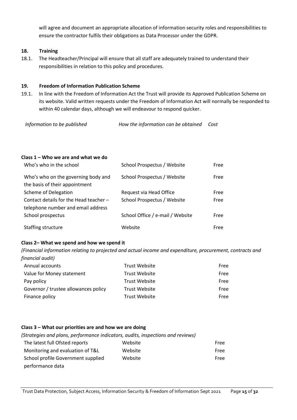<span id="page-14-0"></span>will agree and document an appropriate allocation of information security roles and responsibilities to ensure the contractor fulfils their obligations as Data Processor under the GDPR.

#### **18. Training**

18.1. The Headteacher/Principal will ensure that all staff are adequately trained to understand their responsibilities in relation to this policy and procedures.

#### <span id="page-14-1"></span>**19. Freedom of Information Publication Scheme**

19.1. In line with the Freedom of Information Act the Trust will provide its Approved Publication Scheme on its website. Valid written requests under the Freedom of Information Act will normally be responded to within 40 calendar days, although we will endeavour to respond quicker.

*Information to be published How the information can be obtained Cost* 

#### **Class 1 – Who we are and what we do**

| Who's who in the school                                                      | School Prospectus / Website      | Free |
|------------------------------------------------------------------------------|----------------------------------|------|
| Who's who on the governing body and<br>the basis of their appointment        | School Prospectus / Website      | Free |
| Scheme of Delegation                                                         | Request via Head Office          | Free |
| Contact details for the Head teacher -<br>telephone number and email address | School Prospectus / Website      | Free |
| School prospectus                                                            | School Office / e-mail / Website | Free |
| Staffing structure                                                           | Website                          | Free |

#### **Class 2– What we spend and how we spend it**

*(Financial information relating to projected and actual income and expenditure, procurement, contracts and financial audit)*

| Annual accounts                      | <b>Trust Website</b> | Free |
|--------------------------------------|----------------------|------|
| Value for Money statement            | <b>Trust Website</b> | Free |
| Pay policy                           | <b>Trust Website</b> | Free |
| Governor / trustee allowances policy | <b>Trust Website</b> | Free |
| Finance policy                       | <b>Trust Website</b> | Free |

#### **Class 3 – What our priorities are and how we are doing**

| (Strategies and plans, performance indicators, audits, inspections and reviews) |         |      |
|---------------------------------------------------------------------------------|---------|------|
| The latest full Ofsted reports                                                  | Website | Free |
| Monitoring and evaluation of T&L                                                | Website | Free |
| School profile Government supplied                                              | Website | Free |
| performance data                                                                |         |      |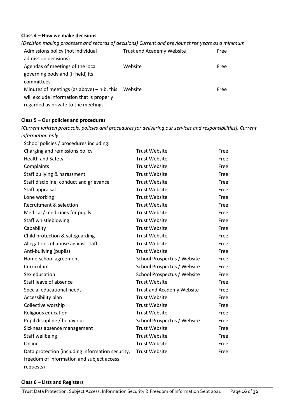#### **Class 4 – How we make decisions**

| (Decision making processes and records of decisions) Current and previous three years as a minimum |                           |      |
|----------------------------------------------------------------------------------------------------|---------------------------|------|
| Admissions policy (not individual                                                                  | Trust and Academy Website | Free |
| admission decisions)                                                                               |                           |      |
| Agendas of meetings of the local                                                                   | Website                   | Free |
| governing body and (if held) its                                                                   |                           |      |
| committees                                                                                         |                           |      |
| Minutes of meetings (as above) $-$ n.b. this                                                       | Website                   | Free |
| will exclude information that is properly                                                          |                           |      |
| regarded as private to the meetings.                                                               |                           |      |

#### **Class 5 – Our policies and procedures**

*(Current written protocols, policies and procedures for delivering our services and responsibilities). Current information only*

| School policies / procedures including:          |                                  |      |
|--------------------------------------------------|----------------------------------|------|
| Charging and remissions policy                   | <b>Trust Website</b>             | Free |
| <b>Health and Safety</b>                         | <b>Trust Website</b>             | Free |
| Complaints                                       | <b>Trust Website</b>             | Free |
| Staff bullying & harassment                      | <b>Trust Website</b>             | Free |
| Staff discipline, conduct and grievance          | <b>Trust Website</b>             | Free |
| Staff appraisal                                  | <b>Trust Website</b>             | Free |
| Lone working                                     | <b>Trust Website</b>             | Free |
| Recruitment & selection                          | <b>Trust Website</b>             | Free |
| Medical / medicines for pupils                   | <b>Trust Website</b>             | Free |
| Staff whistleblowing                             | <b>Trust Website</b>             | Free |
| Capability                                       | <b>Trust Website</b>             | Free |
| Child protection & safeguarding                  | <b>Trust Website</b>             | Free |
| Allegations of abuse against staff               | <b>Trust Website</b>             | Free |
| Anti-bullying (pupils)                           | <b>Trust Website</b>             | Free |
| Home-school agreement                            | School Prospectus / Website      | Free |
| Curriculum                                       | School Prospectus / Website      | Free |
| Sex education                                    | School Prospectus / Website      | Free |
| Staff leave of absence                           | <b>Trust Website</b>             | Free |
| Special educational needs                        | <b>Trust and Academy Website</b> | Free |
| Accessibility plan                               | <b>Trust Website</b>             | Free |
| Collective worship                               | <b>Trust Website</b>             | Free |
| Religious education                              | <b>Trust Website</b>             | Free |
| Pupil discipline / behaviour                     | School Prospectus / Website      | Free |
| Sickness absence management                      | <b>Trust Website</b>             | Free |
| Staff wellbeing                                  | <b>Trust Website</b>             | Free |
| Online                                           | <b>Trust Website</b>             | Free |
| Data protection (including information security, | <b>Trust Website</b>             | Free |
| freedom of information and subject access        |                                  |      |
| requests)                                        |                                  |      |

#### **Class 6 – Lists and Registers**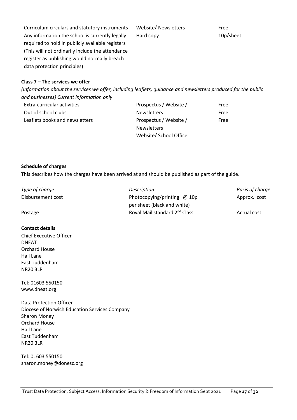| Curriculum circulars and statutory instruments   | Website/Newsletters | Free      |
|--------------------------------------------------|---------------------|-----------|
| Any information the school is currently legally  | Hard copy           | 10p/sheet |
| required to hold in publicly available registers |                     |           |
| (This will not ordinarily include the attendance |                     |           |
| register as publishing would normally breach     |                     |           |
| data protection principles)                      |                     |           |

#### **Class 7 – The services we offer**

*(Information about the services we offer, including leaflets, guidance and newsletters produced for the public and businesses) Current information only*

| Extra-curricular activities    | Prospectus / Website / | Free |
|--------------------------------|------------------------|------|
| Out of school clubs            | <b>Newsletters</b>     | Free |
| Leaflets books and newsletters | Prospectus / Website / | Free |
|                                | <b>Newsletters</b>     |      |
|                                | Website/ School Office |      |

#### **Schedule of charges**

This describes how the charges have been arrived at and should be published as part of the guide.

| Type of charge    | Description                               | <b>Basis of charge</b> |
|-------------------|-------------------------------------------|------------------------|
| Disbursement cost | Photocopying/printing $@10p$              | Approx. cost           |
|                   | per sheet (black and white)               |                        |
| Postage           | Royal Mail standard 2 <sup>nd</sup> Class | Actual cost            |

#### **Contact details**

Chief Executive Officer DNEAT Orchard House Hall Lane East Tuddenham NR20 3LR

Tel: 01603 550150 [www.dneat.org](http://www.dneat.org/)

Data Protection Officer Diocese of Norwich Education Services Company Sharon Money Orchard House Hall Lane East Tuddenham NR20 3LR

Tel: 01603 550150 [sharon.money@donesc.org](mailto:sharon.money@donesc.org)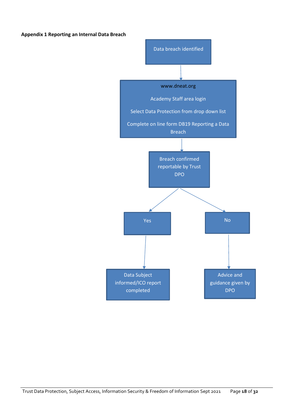#### **Appendix 1 Reporting an Internal Data Breach**

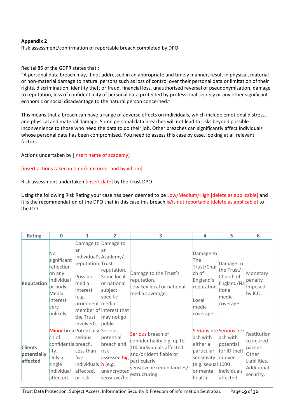#### **Appendix 2**

Risk assessment/confirmation of reportable breach completed by DPO

#### Recital 85 of the GDPR states that :

"A personal data breach may, if not addressed in an appropriate and timely manner, result in physical, material or non-material damage to natural persons such as loss of control over their personal data or limitation of their rights, discrimination, identity theft or fraud, financial loss, unauthorised reversal of pseudonymisation, damage to reputation, loss of confidentiality of personal data protected by professional secrecy or any other significant economic or social disadvantage to the natural person concerned."

This means that a breach can have a range of adverse effects on individuals, which include emotional distress, and physical and material damage. Some personal data breaches will not lead to risks beyond possible inconvenience to those who need the data to do their job. Other breaches can significantly affect individuals whose personal data has been compromised. You need to assess this case by case, looking at all relevant factors.

#### Actions undertaken by [insert name of academy]

#### [insert actions taken in time/date order and by whom]

#### Risk assessment undertaken [insert date] by the Trust DPO

Using the following Risk Rating your case has been deemed to be Low/Medium/High [delete as applicable] and it is the recommendation of the DPO that in this case this breach is/is not reportable [delete as applicable] to the ICO

| Rating                                    | 0                                                                                                                            | 1                                                                                                                                                                | $\overline{2}$                                                                                                             | 3                                                                                                                                                                     | 4                                                                                                  | 5                                                                                                       | 6                                                                                         |
|-------------------------------------------|------------------------------------------------------------------------------------------------------------------------------|------------------------------------------------------------------------------------------------------------------------------------------------------------------|----------------------------------------------------------------------------------------------------------------------------|-----------------------------------------------------------------------------------------------------------------------------------------------------------------------|----------------------------------------------------------------------------------------------------|---------------------------------------------------------------------------------------------------------|-------------------------------------------------------------------------------------------|
| <b>Reputation</b>                         | N <sub>o</sub><br>significant<br>reflection<br>on any<br>individual<br>or body<br>Media<br>interest<br>very<br>unlikely.     | Damage to Damage to<br>lan<br>individual's Academy/<br>reputation. Trust<br>Possible<br>media<br>interest<br>(e.g.<br>prominent media<br>the Trust<br>involved). | lan<br>reputation.<br>Some local<br>or national<br>subject<br>specific<br>member of interest that<br>may not go<br>public. | Damage to the Trust's<br>reputation.<br>Low key local or national<br>media coverage.                                                                                  | Damage to<br>The<br>Trust/Chur<br>ch of<br>England's<br>reputation.<br>Local<br>media<br>coverage. | Damage to<br>the Trust/<br>Church of<br>England/Na<br>tional<br>media<br>coverage.                      | Monetary<br>penalty<br>Imposed<br>by ICO.                                                 |
| <b>Clients</b><br>potentially<br>affected | <b>Minor</b> brea Potentially Serious<br>ch of<br>confidentiabreach.<br>lity.<br>Only a<br>single<br>individual<br>affected. | serious<br>Less than<br>five<br>individuals h (e.g.<br>affected,<br>or risk                                                                                      | potential<br>breach and<br>risk<br>assessed hig<br>unencrypted<br>sensitive/he                                             | Serious breach of<br>confidentiality e.g. up to<br>100 individuals affected<br>and/or identifiable or<br>particularly<br>sensitive ie redundancies/r<br>estructuring. | ach with<br>either a<br>particular<br>sensitivity<br>e.g. sexual 1000<br>or mental<br>health       | Serious bre Serious bre<br>ach with<br>potential<br>for ID theft<br>or over<br>individuals<br>affected. | Restitution<br>to injured<br>parties.<br>Other<br>Liabilities.<br>Additional<br>security. |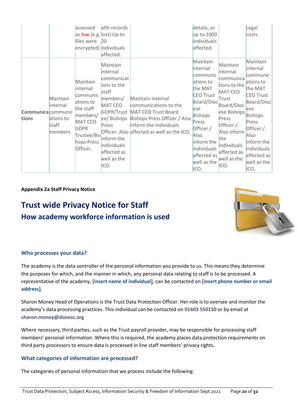|                             |                                                       | assessed<br>as <b>low</b> (e.g. lost) Up to<br>files were<br>encrypted) individuals                                                       | alth records<br><b>20</b><br>affected.                                                                                                                        |                                                                                                                                                                                                  | details, or<br>up to 1000<br>individuals<br>affected.                                                                                                                                                                |                                                                                                                                                                                                             | Legal<br>costs.                                                                                                                                                                                                       |
|-----------------------------|-------------------------------------------------------|-------------------------------------------------------------------------------------------------------------------------------------------|---------------------------------------------------------------------------------------------------------------------------------------------------------------|--------------------------------------------------------------------------------------------------------------------------------------------------------------------------------------------------|----------------------------------------------------------------------------------------------------------------------------------------------------------------------------------------------------------------------|-------------------------------------------------------------------------------------------------------------------------------------------------------------------------------------------------------------|-----------------------------------------------------------------------------------------------------------------------------------------------------------------------------------------------------------------------|
| Communica communic<br>tions | Maintain<br>internal<br>ations to<br>staff<br>members | Maintain<br>internal<br>communic<br>ations to<br>the staff<br>members/<br>MAT CEO<br><b>GDPR</b><br>Trustee/Bis<br>hops Press<br>Officer. | Maintain<br>internal<br>communicat<br>ions to the<br>staff<br>members/<br>MAT CEO<br>Press<br>inform the<br>individuals<br>affected as<br>well as the<br>ICO. | Maintain internal<br>communications to the<br>GDPR/Trust MAT CEO Trust Board<br>ee/ Bishops Bishops Press Officer./ Also<br>inform the individuals<br>Officer. Also affected as well as the ICO. | Maintain<br>internal<br>communic<br>ations to<br>the MAT<br><b>CEO Trust</b><br>Board/Dioc<br>ese<br><b>Bishops</b><br>Press<br>Officer./<br>Also<br>inform the<br>individuals<br>affected as<br>well as the<br>ICO. | Maintain<br>internal<br>communica<br>tions to the<br><b>MAT CEO</b><br>Trust<br>Board/Dioc<br>ese Bishops<br>Press<br>Officer./.<br>Also inform<br>the<br>individuals<br>affected as<br>well as the<br>ICO. | Maintain<br>internal<br>communic<br>ations to<br>the MAT<br><b>CEO Trust</b><br>Board/Dioc<br>ese<br><b>Bishops</b><br>Press<br>Officer./.<br>Also<br>inform the<br>individuals<br>affected as<br>well as the<br>ICO. |

#### **Appendix 2a Staff Privacy Notice**

## **Trust wide Privacy Notice for Staff How academy workforce information is used**



#### **Who processes your data?**

The academy is the data controller of the personal information you provide to us. This means they determine the purposes for which, and the manner in which, any personal data relating to staff is to be processed. A representative of the academy, **[insert name of individual]**, can be contacted on **[insert phone number or email address].**

Sharon Money Head of Operations is the Trust Data Protection Officer. Her role is to oversee and monitor the academy's data processing practices. This individual can be contacted on **01603 550150** or by email at **sharon.money@donesc.org**

Where necessary, third parties, such as the Trust payroll provider, may be responsible for processing staff members' personal information. Where this is required, the academy places data protection requirements on third party processors to ensure data is processed in line staff members' privacy rights.

#### **What categories of information are processed?**

The categories of personal information that we process include the following: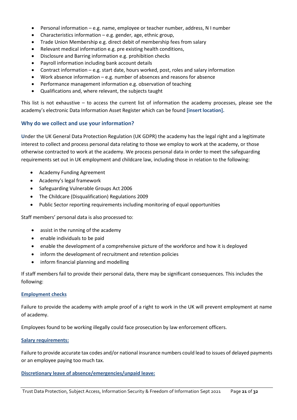- Personal information e.g. name, employee or teacher number, address, N I number
- Characteristics information  $-e.g.$  gender, age, ethnic group,
- Trade Union Membership e.g. direct debit of membership fees from salary
- Relevant medical information e.g. pre existing health conditions,
- Disclosure and Barring information e.g. prohibition checks
- Payroll information including bank account details
- Contract information e.g. start date, hours worked, post, roles and salary information
- Work absence information e.g. number of absences and reasons for absence
- Performance management information e.g. observation of teaching
- Qualifications and, where relevant, the subjects taught

This list is not exhaustive – to access the current list of information the academy processes, please see the academy's electronic Data Information Asset Register which can be found **[insert location].**

#### **Why do we collect and use your information?**

**U**nder the UK General Data Protection Regulation (UK GDPR) the academy has the legal right and a legitimate interest to collect and process personal data relating to those we employ to work at the academy, or those otherwise contracted to work at the academy. We process personal data in order to meet the safeguarding requirements set out in UK employment and childcare law, including those in relation to the following:

- Academy Funding Agreement
- Academy's legal framework
- Safeguarding Vulnerable Groups Act 2006
- The Childcare (Disqualification) Regulations 2009
- Public Sector reporting requirements including monitoring of equal opportunities

Staff members' personal data is also processed to:

- assist in the running of the academy
- enable individuals to be paid
- enable the development of a comprehensive picture of the workforce and how it is deployed
- inform the development of recruitment and retention policies
- inform financial planning and modelling

If staff members fail to provide their personal data, there may be significant consequences. This includes the following:

#### **Employment checks**

Failure to provide the academy with ample proof of a right to work in the UK will prevent employment at name of academy.

Employees found to be working illegally could face prosecution by law enforcement officers.

#### **Salary requirements:**

Failure to provide accurate tax codes and/or national insurance numbers could lead to issues of delayed payments or an employee paying too much tax.

#### **Discretionary leave of absence/emergencies/unpaid leave:**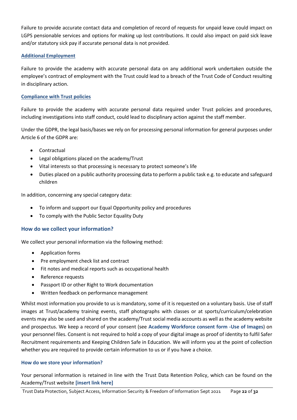Failure to provide accurate contact data and completion of record of requests for unpaid leave could impact on LGPS pensionable services and options for making up lost contributions. It could also impact on paid sick leave and/or statutory sick pay if accurate personal data is not provided.

#### **Additional Employment**

Failure to provide the academy with accurate personal data on any additional work undertaken outside the employee's contract of employment with the Trust could lead to a breach of the Trust Code of Conduct resulting in disciplinary action.

#### **Compliance with Trust policies**

Failure to provide the academy with accurate personal data required under Trust policies and procedures, including investigations into staff conduct, could lead to disciplinary action against the staff member.

Under the GDPR, the legal basis/bases we rely on for processing personal information for general purposes under Article 6 of the GDPR are:

- **Contractual**
- Legal obligations placed on the academy/Trust
- Vital interests so that processing is necessary to protect someone's life
- Duties placed on a public authority processing data to perform a public task e.g. to educate and safeguard children

In addition, concerning any special category data:

- To inform and support our Equal Opportunity policy and procedures
- To comply with the Public Sector Equality Duty

#### **How do we collect your information?**

We collect your personal information via the following method:

- Application forms
- Pre employment check list and contract
- Fit notes and medical reports such as occupational health
- Reference requests
- Passport ID or other Right to Work documentation
- Written feedback on performance management

Whilst most information you provide to us is mandatory, some of it is requested on a voluntary basis. Use of staff images at Trust/academy training events, staff photographs with classes or at sports/curriculum/celebration events may also be used and shared on the academy/Trust social media accounts as well as the academy website and prospectus. We keep a record of your consent (see **Academy Workforce consent form -Use of Images**) on your personnel files. Consent is not required to hold a copy of your digital image as proof of identity to fulfil Safer Recruitment requirements and Keeping Children Safe in Education. We will inform you at the point of collection whether you are required to provide certain information to us or if you have a choice.

#### **How do we store your information?**

Your personal information is retained in line with the Trust Data Retention Policy, which can be found on the Academy/Trust website **[insert link here]**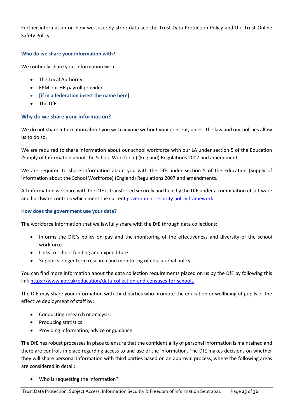Further information on how we securely store data see the Trust Data Protection Policy and the Trust Online Safety Policy

#### **Who do we share your information with?**

We routinely share your information with:

- The Local Authority
- EPM our HR payroll provider
- **[if in a federation insert the name here]**
- The DfE

#### **Why do we share your information?**

We do not share information about you with anyone without your consent, unless the law and our policies allow us to do so.

We are required to share information about our school workforce with our LA under section 5 of the Education (Supply of Information about the School Workforce) (England) Regulations 2007 and amendments.

We are required to share information about you with the DfE under section 5 of the Education (Supply of Information about the School Workforce) (England) Regulations 2007 and amendments.

All information we share with the DfE is transferred securely and held by the DfE under a combination of software and hardware controls which meet the current [government security policy framework.](https://www.gov.uk/government/publications/security-policy-framework)

#### **How does the government use your data?**

The workforce information that we lawfully share with the DfE through data collections:

- Informs the DfE's policy on pay and the monitoring of the effectiveness and diversity of the school workforce.
- Links to school funding and expenditure.
- Supports longer term research and monitoring of educational policy.

You can find more information about the data collection requirements placed on us by the DfE by following this link [https://www.gov.uk/education/data-collection-and-censuses-for-schools.](https://www.gov.uk/education/data-collection-and-censuses-for-schools)

The DfE may share your information with third parties who promote the education or wellbeing of pupils or the effective deployment of staff by:

- Conducting research or analysis.
- Producing statistics.
- Providing information, advice or guidance.

The DfE has robust processes in place to ensure that the confidentiality of personal information is maintained and there are controls in place regarding access to and use of the information. The DfE makes decisions on whether they will share personal information with third parties based on an approval process, where the following areas are considered in detail:

• Who is requesting the information?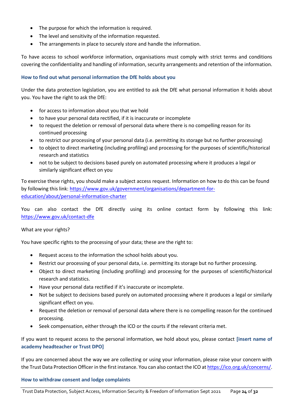- The purpose for which the information is required.
- The level and sensitivity of the information requested.
- The arrangements in place to securely store and handle the information.

To have access to school workforce information, organisations must comply with strict terms and conditions covering the confidentiality and handling of information, security arrangements and retention of the information.

#### **How to find out what personal information the DfE holds about you**

Under the data protection legislation, you are entitled to ask the DfE what personal information it holds about you. You have the right to ask the DfE:

- for access to information about you that we hold
- to have your personal data rectified, if it is inaccurate or incomplete
- to request the deletion or removal of personal data where there is no compelling reason for its continued processing
- to restrict our processing of your personal data (i.e. permitting its storage but no further processing)
- to object to direct marketing (including profiling) and processing for the purposes of scientific/historical research and statistics
- not to be subject to decisions based purely on automated processing where it produces a legal or similarly significant effect on you

To exercise these rights, you should make a subject access request. Information on how to do this can be found by following this link[: https://www.gov.uk/government/organisations/department-for](https://www.gov.uk/government/organisations/department-for-education/about/personal-information-charter)[education/about/personal-information-charter](https://www.gov.uk/government/organisations/department-for-education/about/personal-information-charter)

You can also contact the DfE directly using its online contact form by following this link: <https://www.gov.uk/contact-dfe>

#### What are your rights?

You have specific rights to the processing of your data; these are the right to:

- Request access to the information the school holds about you.
- Restrict our processing of your personal data, i.e. permitting its storage but no further processing.
- Object to direct marketing (including profiling) and processing for the purposes of scientific/historical research and statistics.
- Have your personal data rectified if it's inaccurate or incomplete.
- Not be subject to decisions based purely on automated processing where it produces a legal or similarly significant effect on you.
- Request the deletion or removal of personal data where there is no compelling reason for the continued processing.
- Seek compensation, either through the ICO or the courts if the relevant criteria met.

If you want to request access to the personal information, we hold about you, please contact **[insert name of academy headteacher or Trust DPO]**

If you are concerned about the way we are collecting or using your information, please raise your concern with the Trust Data Protection Officer in the first instance. You can also contact the ICO a[t https://ico.org.uk/concerns/.](https://ico.org.uk/concerns/)

#### **How to withdraw consent and lodge complaints**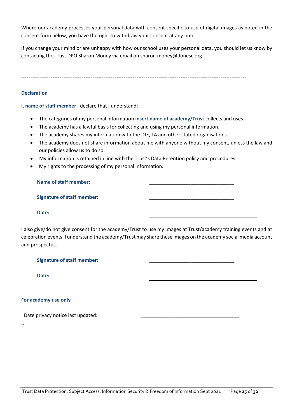Where our academy processes your personal data with consent specific to use of digital images as noted in the consent form below, you have the right to withdraw your consent at any time.

If you change your mind or are unhappy with how our school uses your personal data, you should let us know by contacting the Trust DPO Sharon Money via email on sharon.money@donesc.org

---------------------------------------------------------------------------------------------------------------------------

#### **Declaration**

I, **name of staff member** , declare that I understand:

- The categories of my personal information **insert name of academy/Trust** collects and uses.
- The academy has a lawful basis for collecting and using my personal information.
- The academy shares my information with the DfE, LA and other stated organisations.
- The academy does not share information about me with anyone without my consent, unless the law and our policies allow us to do so.
- My information is retained in line with the Trust's Data Retention policy and procedures.
- My rights to the processing of my personal information.

Name of staff member:

#### Signature of staff member:

#### **Date:**

I also give/do not give consent for the academy/Trust to use my images at Trust/academy training events and at celebration events. I understand the academy/Trust may share these images on the academy social media account and prospectus.

Signature of staff member:

**Date:**

#### **For academy use only**

..

Date privacy notice last updated: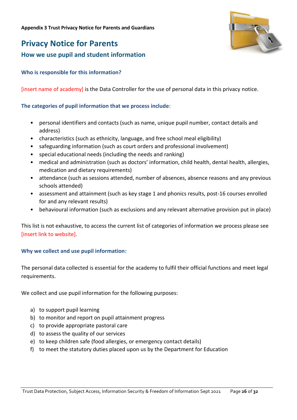## **Privacy Notice for Parents**

## **How we use pupil and student information**

## **Who is responsible for this information?**

[insert name of academy] is the Data Controller for the use of personal data in this privacy notice.

## **The categories of pupil information that we process include**:

- personal identifiers and contacts (such as name, unique pupil number, contact details and address)
- characteristics (such as ethnicity, language, and free school meal eligibility)
- safeguarding information (such as court orders and professional involvement)
- special educational needs (including the needs and ranking)
- medical and administration (such as doctors' information, child health, dental health, allergies, medication and dietary requirements)
- attendance (such as sessions attended, number of absences, absence reasons and any previous schools attended)
- assessment and attainment (such as key stage 1 and phonics results, post-16 courses enrolled for and any relevant results)
- behavioural information (such as exclusions and any relevant alternative provision put in place)

This list is not exhaustive, to access the current list of categories of information we process please see [insert link to website].

## **Why we collect and use pupil information:**

The personal data collected is essential for the academy to fulfil their official functions and meet legal requirements.

We collect and use pupil information for the following purposes:

- a) to support pupil learning
- b) to monitor and report on pupil attainment progress
- c) to provide appropriate pastoral care
- d) to assess the quality of our services
- e) to keep children safe (food allergies, or emergency contact details)
- f) to meet the statutory duties placed upon us by the Department for Education

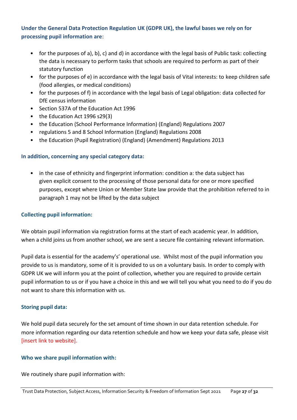## **Under the General Data Protection Regulation UK (GDPR UK), the lawful bases we rely on for processing pupil information are**:

- for the purposes of a), b), c) and d) in accordance with the legal basis of Public task: collecting the data is necessary to perform tasks that schools are required to perform as part of their statutory function
- for the purposes of e) in accordance with the legal basis of Vital interests: to keep children safe (food allergies, or medical conditions)
- for the purposes of f) in accordance with the legal basis of Legal obligation: data collected for DfE census information
- Section 537A of the Education Act 1996
- the Education Act 1996 s29(3)
- the Education (School Performance Information) (England) Regulations 2007
- regulations 5 and 8 School Information (England) Regulations 2008
- the Education (Pupil Registration) (England) (Amendment) Regulations 2013

## **In addition, concerning any special category data:**

• in the case of ethnicity and fingerprint information: condition a: the data subject has given explicit consent to the processing of those personal data for one or more specified purposes, except where Union or Member State law provide that the prohibition referred to in paragraph 1 may not be lifted by the data subject

## **Collecting pupil information:**

We obtain pupil information via registration forms at the start of each academic year. In addition, when a child joins us from another school, we are sent a secure file containing relevant information.

Pupil data is essential for the academy's' operational use. Whilst most of the pupil information you provide to us is mandatory, some of it is provided to us on a voluntary basis. In order to comply with GDPR UK we will inform you at the point of collection, whether you are required to provide certain pupil information to us or if you have a choice in this and we will tell you what you need to do if you do not want to share this information with us.

## **Storing pupil data:**

We hold pupil data securely for the set amount of time shown in our data retention schedule. For more information regarding our data retention schedule and how we keep your data safe, please visit [insert link to website].

## **Who we share pupil information with:**

We routinely share pupil information with: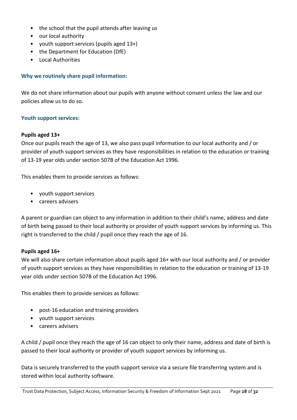- the school that the pupil attends after leaving us
- our local authority
- youth support services (pupils aged 13+)
- the Department for Education (DfE)
- Local Authorities

#### **Why we routinely share pupil information:**

We do not share information about our pupils with anyone without consent unless the law and our policies allow us to do so**.**

#### **Youth support services:**

#### **Pupils aged 13+**

Once our pupils reach the age of 13, we also pass pupil information to our local authority and / or provider of youth support services as they have responsibilities in relation to the education or training of 13-19 year olds under section 507B of the Education Act 1996.

This enables them to provide services as follows:

- youth support services
- careers advisers

A parent or guardian can object to any information in addition to their child's name, address and date of birth being passed to their local authority or provider of youth support services by informing us. This right is transferred to the child / pupil once they reach the age of 16.

#### **Pupils aged 16+**

We will also share certain information about pupils aged 16+ with our local authority and / or provider of youth support services as they have responsibilities in relation to the education or training of 13-19 year olds under section 507B of the Education Act 1996.

This enables them to provide services as follows:

- post-16 education and training providers
- youth support services
- careers advisers

A child / pupil once they reach the age of 16 can object to only their name, address and date of birth is passed to their local authority or provider of youth support services by informing us.

Data is securely transferred to the youth support service via a secure file transferring system and is stored within local authority software.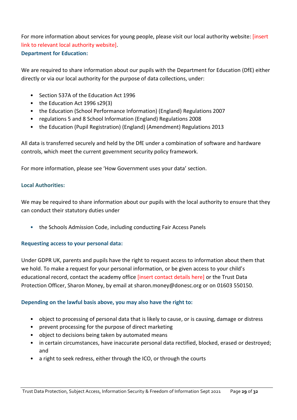For more information about services for young people, please visit our local authority website: [insert link to relevant local authority website]. **Department for Education:**

We are required to share information about our pupils with the Department for Education (DfE) either directly or via our local authority for the purpose of data collections, under:

- Section 537A of the Education Act 1996
- the Education Act 1996 s29(3)
- the Education (School Performance Information) (England) Regulations 2007
- regulations 5 and 8 School Information (England) Regulations 2008
- the Education (Pupil Registration) (England) (Amendment) Regulations 2013

All data is transferred securely and held by the DfE under a combination of software and hardware controls, which meet the current government security policy framework.

For more information, please see 'How Government uses your data' section.

## **Local Authorities:**

We may be required to share information about our pupils with the local authority to ensure that they can conduct their statutory duties under

• the Schools Admission Code, including conducting Fair Access Panels

## **Requesting access to your personal data:**

Under GDPR UK, parents and pupils have the right to request access to information about them that we hold. To make a request for your personal information, or be given access to your child's educational record, contact the academy office *[insert contact details here]* or the Trust Data Protection Officer, Sharon Money, by email at [sharon.money@donesc.org](mailto:sharon.money@donesc.org) or on 01603 550150.

## **Depending on the lawful basis above, you may also have the right to:**

- object to processing of personal data that is likely to cause, or is causing, damage or distress
- prevent processing for the purpose of direct marketing
- object to decisions being taken by automated means
- in certain circumstances, have inaccurate personal data rectified, blocked, erased or destroyed; and
- a right to seek redress, either through the ICO, or through the courts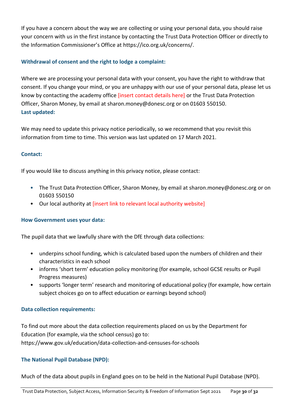If you have a concern about the way we are collecting or using your personal data, you should raise your concern with us in the first instance by contacting the Trust Data Protection Officer or directly to the Information Commissioner's Office at [https://ico.org.uk/concerns/.](https://ico.org.uk/concerns/)

## **Withdrawal of consent and the right to lodge a complaint:**

Where we are processing your personal data with your consent, you have the right to withdraw that consent. If you change your mind, or you are unhappy with our use of your personal data, please let us know by contacting the academy office *[insert contact details here]* or the Trust Data Protection Officer, Sharon Money, by email at [sharon.money@donesc.org](mailto:sharon.money@donesc.org) or on 01603 550150. **Last updated:**

We may need to update this privacy notice periodically, so we recommend that you revisit this information from time to time. This version was last updated on 17 March 2021.

## **Contact:**

If you would like to discuss anything in this privacy notice, please contact:

- The Trust Data Protection Officer, Sharon Money, by email at [sharon.money@donesc.org](mailto:sharon.money@donesc.org) or on 01603 550150
- Our local authority at [insert link to relevant local authority website]

## **How Government uses your data:**

The pupil data that we lawfully share with the DfE through data collections:

- underpins school funding, which is calculated based upon the numbers of children and their characteristics in each school
- informs 'short term' education policy monitoring (for example, school GCSE results or Pupil Progress measures)
- supports 'longer term' research and monitoring of educational policy (for example, how certain subject choices go on to affect education or earnings beyond school)

## **Data collection requirements:**

To find out more about the data collection requirements placed on us by the Department for Education (for example, via the school census) go to: <https://www.gov.uk/education/data-collection-and-censuses-for-schools>

## **The National Pupil Database (NPD):**

Much of the data about pupils in England goes on to be held in the National Pupil Database (NPD).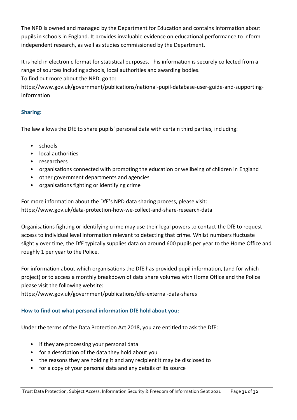The NPD is owned and managed by the Department for Education and contains information about pupils in schools in England. It provides invaluable evidence on educational performance to inform independent research, as well as studies commissioned by the Department.

It is held in electronic format for statistical purposes. This information is securely collected from a range of sources including schools, local authorities and awarding bodies.

To find out more about the NPD, go to:

[https://www.gov.uk/government/publications/national-pupil-database-user-guide-and-supporting](https://www.gov.uk/government/publications/national-pupil-database-user-guide-and-supporting-information)[information](https://www.gov.uk/government/publications/national-pupil-database-user-guide-and-supporting-information)

## **Sharing:**

The law allows the DfE to share pupils' personal data with certain third parties, including:

- schools
- local authorities
- researchers
- organisations connected with promoting the education or wellbeing of children in England
- other government departments and agencies
- organisations fighting or identifying crime

For more information about the DfE's NPD data sharing process, please visit: <https://www.gov.uk/data-protection-how-we-collect-and-share-research-data>

Organisations fighting or identifying crime may use their legal powers to contact the DfE to request access to individual level information relevant to detecting that crime. Whilst numbers fluctuate slightly over time, the DfE typically supplies data on around 600 pupils per year to the Home Office and roughly 1 per year to the Police.

For information about which organisations the DfE has provided pupil information, (and for which project) or to access a monthly breakdown of data share volumes with Home Office and the Police please visit the following website:

<https://www.gov.uk/government/publications/dfe-external-data-shares>

## **How to find out what personal information DfE hold about you:**

Under the terms of the Data Protection Act 2018, you are entitled to ask the DfE:

- if they are processing your personal data
- for a description of the data they hold about you
- the reasons they are holding it and any recipient it may be disclosed to
- for a copy of your personal data and any details of its source